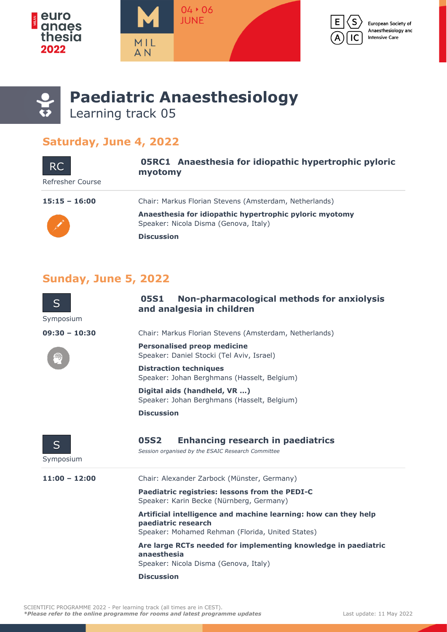







**Paediatric Anaesthesiology** Learning track 05

## **Saturday, June 4, 2022**

| <b>RC</b><br>Refresher Course | 05RC1 Anaesthesia for idiopathic hypertrophic pyloric<br>myotomy                                 |
|-------------------------------|--------------------------------------------------------------------------------------------------|
| $15:15 - 16:00$               | Chair: Markus Florian Stevens (Amsterdam, Netherlands)                                           |
|                               | Anaesthesia for idiopathic hypertrophic pyloric myotomy<br>Speaker: Nicola Disma (Genova, Italy) |
|                               | <b>Discussion</b>                                                                                |

## **Sunday, June 5, 2022**

| S<br>Symposium  | Non-pharmacological methods for anxiolysis<br>05S1<br>and analgesia in children                                                            |
|-----------------|--------------------------------------------------------------------------------------------------------------------------------------------|
| $09:30 - 10:30$ | Chair: Markus Florian Stevens (Amsterdam, Netherlands)                                                                                     |
|                 | <b>Personalised preop medicine</b><br>Speaker: Daniel Stocki (Tel Aviv, Israel)                                                            |
|                 | <b>Distraction techniques</b><br>Speaker: Johan Berghmans (Hasselt, Belgium)                                                               |
|                 | Digital aids (handheld, VR )<br>Speaker: Johan Berghmans (Hasselt, Belgium)                                                                |
|                 | <b>Discussion</b>                                                                                                                          |
| S<br>Symposium  | 05S2<br><b>Enhancing research in paediatrics</b><br>Session organised by the ESAIC Research Committee                                      |
| $11:00 - 12:00$ | Chair: Alexander Zarbock (Münster, Germany)                                                                                                |
|                 | Paediatric registries: lessons from the PEDI-C<br>Speaker: Karin Becke (Nürnberg, Germany)                                                 |
|                 | Artificial intelligence and machine learning: how can they help<br>paediatric research<br>Speaker: Mohamed Rehman (Florida, United States) |
|                 | Are large RCTs needed for implementing knowledge in paediatric<br>anaesthesia<br>Speaker: Nicola Disma (Genova, Italy)                     |
|                 | <b>Discussion</b>                                                                                                                          |